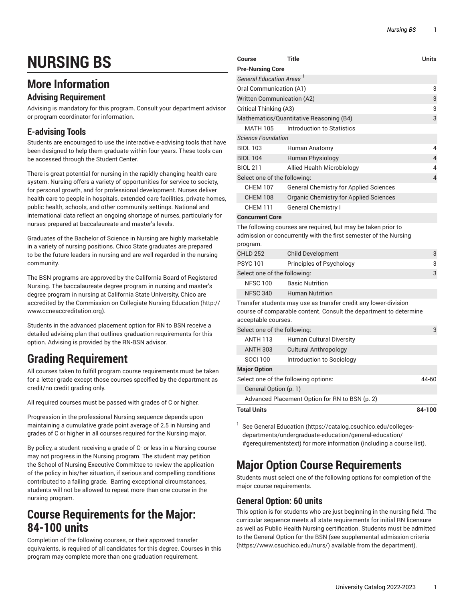# **NURSING BS**

### **More Information**

#### **Advising Requirement**

Advising is mandatory for this program. Consult your department advisor or program coordinator for information.

#### **E-advising Tools**

Students are encouraged to use the interactive e-advising tools that have been designed to help them graduate within four years. These tools can be accessed through the Student Center.

There is great potential for nursing in the rapidly changing health care system. Nursing offers a variety of opportunities for service to society, for personal growth, and for professional development. Nurses deliver health care to people in hospitals, extended care facilities, private homes, public health, schools, and other community settings. National and international data reflect an ongoing shortage of nurses, particularly for nurses prepared at baccalaureate and master's levels.

Graduates of the Bachelor of Science in Nursing are highly marketable in a variety of nursing positions. Chico State graduates are prepared to be the future leaders in nursing and are well regarded in the nursing community.

The BSN programs are approved by the California Board of Registered Nursing. The baccalaureate degree program in nursing and master's degree program in nursing at California State University, Chico are accredited by the Commission on Collegiate Nursing Education ([http://](http://www.ccneaccreditation.org) [www.ccneaccreditation.org](http://www.ccneaccreditation.org)).

Students in the advanced placement option for RN to BSN receive a detailed advising plan that outlines graduation requirements for this option. Advising is provided by the RN-BSN advisor.

# **Grading Requirement**

All courses taken to fulfill program course requirements must be taken for a letter grade except those courses specified by the department as credit/no credit grading only.

All required courses must be passed with grades of C or higher.

Progression in the professional Nursing sequence depends upon maintaining a cumulative grade point average of 2.5 in Nursing and grades of C or higher in all courses required for the Nursing major.

By policy, a student receiving a grade of C- or less in a Nursing course may not progress in the Nursing program. The student may petition the School of Nursing Executive Committee to review the application of the policy in his/her situation, if serious and compelling conditions contributed to a failing grade. Barring exceptional circumstances, students will not be allowed to repeat more than one course in the nursing program.

### **Course Requirements for the Major: 84-100 units**

Completion of the following courses, or their approved transfer equivalents, is required of all candidates for this degree. Courses in this program may complete more than one graduation requirement.

| Course                                                                                                                                                      | Title                                                                                                                             | <b>Units</b> |
|-------------------------------------------------------------------------------------------------------------------------------------------------------------|-----------------------------------------------------------------------------------------------------------------------------------|--------------|
| <b>Pre-Nursing Core</b>                                                                                                                                     |                                                                                                                                   |              |
| <b>General Education Areas</b>                                                                                                                              |                                                                                                                                   |              |
| Oral Communication (A1)                                                                                                                                     |                                                                                                                                   | 3            |
| <b>Written Communication (A2)</b>                                                                                                                           |                                                                                                                                   | 3            |
| Critical Thinking (A3)                                                                                                                                      |                                                                                                                                   | 3            |
|                                                                                                                                                             | Mathematics/Quantitative Reasoning (B4)                                                                                           | 3            |
| <b>MATH 105</b>                                                                                                                                             | Introduction to Statistics                                                                                                        |              |
| <b>Science Foundation</b>                                                                                                                                   |                                                                                                                                   |              |
| <b>BIOL 103</b>                                                                                                                                             | Human Anatomy                                                                                                                     | 4            |
| <b>BIOL 104</b>                                                                                                                                             | Human Physiology                                                                                                                  | 4            |
| <b>BIOL 211</b>                                                                                                                                             | Allied Health Microbiology                                                                                                        | 4            |
| Select one of the following:                                                                                                                                |                                                                                                                                   | 4            |
| <b>CHEM 107</b>                                                                                                                                             | <b>General Chemistry for Applied Sciences</b>                                                                                     |              |
| <b>CHEM 108</b>                                                                                                                                             | <b>Organic Chemistry for Applied Sciences</b>                                                                                     |              |
| <b>CHEM 111</b>                                                                                                                                             | <b>General Chemistry I</b>                                                                                                        |              |
| <b>Concurrent Core</b>                                                                                                                                      |                                                                                                                                   |              |
| program.                                                                                                                                                    | The following courses are required, but may be taken prior to<br>admission or concurrently with the first semester of the Nursing |              |
| CHI D 252                                                                                                                                                   | <b>Child Development</b>                                                                                                          | 3            |
| <b>PSYC101</b>                                                                                                                                              | Principles of Psychology                                                                                                          | 3            |
| Select one of the following:                                                                                                                                |                                                                                                                                   | 3            |
| <b>NFSC 100</b>                                                                                                                                             | <b>Basic Nutrition</b>                                                                                                            |              |
| <b>NFSC 340</b>                                                                                                                                             | <b>Human Nutrition</b>                                                                                                            |              |
| Transfer students may use as transfer credit any lower-division<br>course of comparable content. Consult the department to determine<br>acceptable courses. |                                                                                                                                   |              |
| Select one of the following:                                                                                                                                |                                                                                                                                   | 3            |
| <b>ANTH 113</b>                                                                                                                                             | <b>Human Cultural Diversity</b>                                                                                                   |              |
| <b>ANTH 303</b>                                                                                                                                             | <b>Cultural Anthropology</b>                                                                                                      |              |
|                                                                                                                                                             |                                                                                                                                   |              |

|                                      | <b>Total Units</b>    |                                                | 84-100 |
|--------------------------------------|-----------------------|------------------------------------------------|--------|
|                                      |                       | Advanced Placement Option for RN to BSN (p. 2) |        |
|                                      | General Option (p. 1) |                                                |        |
| Select one of the following options: |                       | 44-60                                          |        |
|                                      | <b>Major Option</b>   |                                                |        |
|                                      | SOCI 100              | Introduction to Sociology                      |        |
|                                      | AN I H 303            | Guitural Anthropology                          |        |

<sup>1</sup> See General [Education](https://catalog.csuchico.edu/colleges-departments/undergraduate-education/general-education/#gerequirementstext) [\(https://catalog.csuchico.edu/colleges](https://catalog.csuchico.edu/colleges-departments/undergraduate-education/general-education/#gerequirementstext)[departments/undergraduate-education/general-education/](https://catalog.csuchico.edu/colleges-departments/undergraduate-education/general-education/#gerequirementstext) [#gerequirementstext](https://catalog.csuchico.edu/colleges-departments/undergraduate-education/general-education/#gerequirementstext)) for more information (including a course list).

# **Major Option Course Requirements**

Students must select one of the following options for completion of the major course requirements.

#### <span id="page-0-0"></span>**General Option: 60 units**

This option is for students who are just beginning in the nursing field. The curricular sequence meets all state requirements for initial RN licensure as well as Public Health Nursing certification. Students must be admitted to the General Option for the BSN (see [supplemental admission criteria](https://www.csuchico.edu/nurs/) [\(https://www.csuchico.edu/nurs/\)](https://www.csuchico.edu/nurs/) available from the department).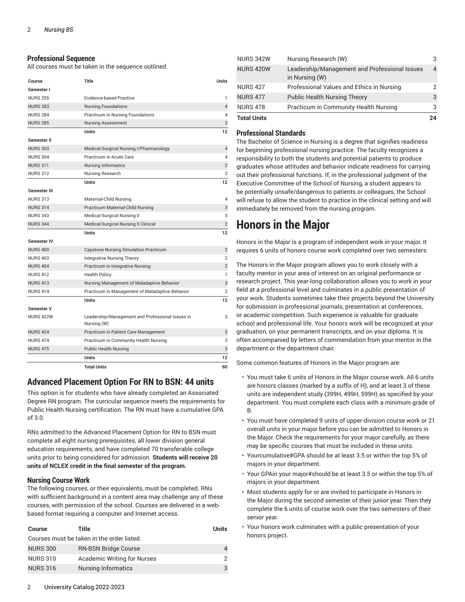#### **Professional Sequence**

All courses must be taken in the sequence outlined.

| Course              | Title                                                           | <b>Units</b>   |
|---------------------|-----------------------------------------------------------------|----------------|
| Semester I          |                                                                 |                |
| <b>NURS 255</b>     | <b>Evidence-based Practice</b>                                  | 1              |
| <b>NURS 283</b>     | <b>Nursing Foundations</b>                                      | $\overline{4}$ |
| <b>NURS 284</b>     | Practicum in Nursing Foundations                                | 4              |
| <b>NURS 285</b>     | <b>Nursing Assessment</b>                                       | 3              |
|                     | <b>Units</b>                                                    | 12             |
| Semester II         |                                                                 |                |
| <b>NURS 303</b>     | Medical-Surgical Nursing I/Pharmacology                         | $\overline{4}$ |
| <b>NURS 304</b>     | Practicum in Acute Care                                         | 4              |
| <b>NURS 311</b>     | <b>Nursing Informatics</b>                                      | $\overline{2}$ |
| <b>NURS 312</b>     | Nursing Research                                                | $\overline{2}$ |
|                     | <b>Units</b>                                                    | 12             |
| <b>Semester III</b> |                                                                 |                |
| <b>NURS 313</b>     | Maternal-Child Nursing                                          | 4              |
| <b>NURS 314</b>     | Practicum Maternal-Child Nursing                                | 3              |
| <b>NURS 343</b>     | Medical-Surgical Nursing II                                     | 3              |
| <b>NURS 344</b>     | Medical-Surgical Nursing II Clinical                            | $\overline{2}$ |
|                     | <b>Units</b>                                                    | 12             |
| <b>Semester IV</b>  |                                                                 |                |
| <b>NURS 400</b>     | Capstone Nursing Simulation Practicum                           | $\overline{2}$ |
| <b>NURS 403</b>     | <b>Integrative Nursing Theory</b>                               | $\overline{2}$ |
| <b>NURS 404</b>     | Practicum in Integrative Nursing                                | $\overline{2}$ |
| <b>NURS 412</b>     | <b>Health Policy</b>                                            | 1              |
| <b>NURS 413</b>     | Nursing Management of Maladaptive Behavior                      | 3              |
| <b>NURS 414</b>     | Practicum in Management of Maladaptive Behavior                 | $\overline{2}$ |
|                     | <b>Units</b>                                                    | 12             |
| <b>Semester V</b>   |                                                                 |                |
| <b>NURS 422W</b>    | Leadership/Management and Professional Issues in<br>Nursing (W) | 3              |
| <b>NURS 424</b>     | Practicum in Patient Care Management                            | 3              |
| <b>NURS 474</b>     | Practicum in Community Health Nursing                           | 3              |
| <b>NURS 475</b>     | <b>Public Health Nursing</b>                                    | 3              |
|                     | <b>Units</b>                                                    | 12             |
|                     | <b>Total Units</b>                                              | 60             |

#### <span id="page-1-0"></span>**Advanced Placement Option For RN to BSN: 44 units**

This option is for students who have already completed an Associated Degree RN program. The curricular sequence meets the requirements for Public Health Nursing certification. The RN must have a cumulative GPA of 3.0.

RNs admitted to the Advanced Placement Option for RN to BSN must complete all eight nursing prerequisites, all lower division general education requirements, and have completed 70 transferable college units prior to being considered for admission. **Students will receive 20 units of NCLEX credit in the final semester of the program.**

#### **Nursing Course Work**

The following courses, or their equivalents, must be completed. RNs with sufficient background in a content area may challenge any of these courses, with permission of the school. Courses are delivered in a webbased format requiring a computer and Internet access.

| <b>Course</b>                              | Title                              | <b>Units</b> |
|--------------------------------------------|------------------------------------|--------------|
| Courses must be taken in the order listed. |                                    |              |
| <b>NURS 300</b>                            | <b>RN-BSN Bridge Course</b>        | 4            |
| <b>NURS 310</b>                            | <b>Academic Writing for Nurses</b> | 2            |
| <b>NURS 316</b>                            | <b>Nursing Informatics</b>         | 3            |

| <b>NURS 342W</b>   | Nursing Research (W)                                            |    |
|--------------------|-----------------------------------------------------------------|----|
| <b>NURS 420W</b>   | Leadership/Management and Professional Issues<br>in Nursing (W) | 4  |
| <b>NURS 427</b>    | Professional Values and Ethics in Nursing                       |    |
| <b>NURS 477</b>    | <b>Public Health Nursing Theory</b>                             | 3  |
| <b>NURS 478</b>    | Practicum in Community Health Nursing                           | 3  |
| <b>Total Units</b> |                                                                 | 2Δ |

#### **Professional Standards**

The Bachelor of Science in Nursing is a degree that signifies readiness for beginning professional nursing practice. The faculty recognizes a responsibility to both the students and potential patients to produce graduates whose attitudes and behavior indicate readiness for carrying out their professional functions. If, in the professional judgment of the Executive Committee of the School of Nursing, a student appears to be potentially unsafe/dangerous to patients or colleagues, the School will refuse to allow the student to practice in the clinical setting and will immediately be removed from the nursing program.

### **Honors in the Major**

Honors in the Major is a program of independent work in your major. It requires 6 units of honors course work completed over two semesters.

The Honors in the Major program allows you to work closely with a faculty mentor in your area of interest on an original performance or research project. This year-long collaboration allows you to work in your field at a professional level and culminates in a public presentation of your work. Students sometimes take their projects beyond the University for submission in professional journals, presentation at conferences, or academic competition. Such experience is valuable for graduate school and professional life. Your honors work will be recognized at your graduation, on your permanent transcripts, and on your diploma. It is often accompanied by letters of commendation from your mentor in the department or the department chair.

Some common features of Honors in the Major program are:

- You must take 6 units of Honors in the Major course work. All 6 units are honors classes (marked by a suffix of H), and at least 3 of these units are independent study (399H, 499H, 599H) as specified by your department. You must complete each class with a minimum grade of B.
- You must have completed 9 units of upper-division course work or 21 overall units in your major before you can be admitted to Honors in the Major. Check the requirements for your major carefully, as there may be specific courses that must be included in these units.
- Yourcumulative#GPA should be at least 3.5 or within the top 5% of majors in your department.
- Your GPAin your major#should be at least 3.5 or within the top 5% of majors in your department.
- Most students apply for or are invited to participate in Honors in the Major during the second semester of their junior year. Then they complete the 6 units of course work over the two semesters of their senior year.
- Your honors work culminates with a public presentation of your honors project.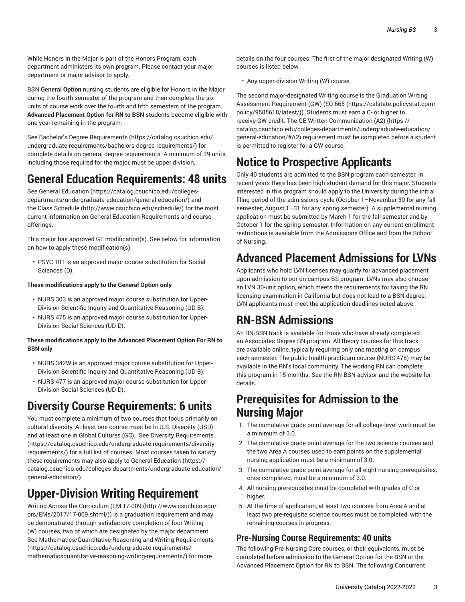While Honors in the Major is part of the Honors Program, each department administers its own program. Please contact your major department or major advisor to apply.

BSN **General Option** nursing students are eligible for Honors in the Major during the fourth semester of the program and then complete the six units of course work over the fourth and fifth semesters of the program. **Advanced Placement Option for RN to BSN** students become eligible with one year remaining in the program.

See Bachelor's Degree [Requirements](https://catalog.csuchico.edu/undergraduate-requirements/bachelors-degree-requirements/) ([https://catalog.csuchico.edu/](https://catalog.csuchico.edu/undergraduate-requirements/bachelors-degree-requirements/) [undergraduate-requirements/bachelors-degree-requirements/\)](https://catalog.csuchico.edu/undergraduate-requirements/bachelors-degree-requirements/) for complete details on general degree requirements. A minimum of 39 units, including those required for the major, must be upper division.

### **General Education Requirements: 48 units**

See General [Education](https://catalog.csuchico.edu/colleges-departments/undergraduate-education/general-education/) ([https://catalog.csuchico.edu/colleges](https://catalog.csuchico.edu/colleges-departments/undergraduate-education/general-education/)[departments/undergraduate-education/general-education/](https://catalog.csuchico.edu/colleges-departments/undergraduate-education/general-education/)) and the [Class Schedule \(http://www.csuchico.edu/schedule/](http://www.csuchico.edu/schedule/)) for the most current information on General Education Requirements and course offerings.

This major has approved GE modification(s). See below for information on how to apply these modification(s).

• PSYC 101 is an approved major course substitution for Social Sciences (D).

#### **These modifications apply to the General Option only**

- NURS 303 is an approved major course substitution for Upper-Division Scientific Inquiry and Quantitative Reasoning (UD-B).
- NURS 475 is an approved major course substitution for Upper-Division Social Sciences (UD-D).

#### **These modifications apply to the Advanced Placement Option For RN to BSN only**

- NURS 342W is an approved major course substitution for Upper-Division Scientific Inquiry and Quantitative Reasoning (UD-B).
- NURS 477 is an approved major course substitution for Upper-Division Social Sciences (UD-D).

# **Diversity Course Requirements: 6 units**

You must complete a minimum of two courses that focus primarily on cultural diversity. At least one course must be in U.S. Diversity (USD) and at least one in Global Cultures (GC). See Diversity [Requirements](https://catalog.csuchico.edu/undergraduate-requirements/diversity-requirements/) ([https://catalog.csuchico.edu/undergraduate-requirements/diversity](https://catalog.csuchico.edu/undergraduate-requirements/diversity-requirements/)[requirements/\)](https://catalog.csuchico.edu/undergraduate-requirements/diversity-requirements/) for a full list of courses. Most courses taken to satisfy these requirements may also apply to General [Education](https://catalog.csuchico.edu/colleges-departments/undergraduate-education/general-education/) [\(https://](https://catalog.csuchico.edu/colleges-departments/undergraduate-education/general-education/) [catalog.csuchico.edu/colleges-departments/undergraduate-education/](https://catalog.csuchico.edu/colleges-departments/undergraduate-education/general-education/) [general-education/\)](https://catalog.csuchico.edu/colleges-departments/undergraduate-education/general-education/).

# **Upper-Division Writing Requirement**

Writing Across the Curriculum [\(EM 17-009](http://www.csuchico.edu/prs/EMs/2017/17-009.shtml/) [\(http://www.csuchico.edu/](http://www.csuchico.edu/prs/EMs/2017/17-009.shtml/) [prs/EMs/2017/17-009.shtml/\)](http://www.csuchico.edu/prs/EMs/2017/17-009.shtml/)) is a graduation requirement and may be demonstrated through satisfactory completion of four Writing (W) courses, two of which are designated by the major department. See [Mathematics/Quantitative](https://catalog.csuchico.edu/undergraduate-requirements/mathematicsquantitative-reasoning-writing-requirements/) Reasoning and Writing Requirements ([https://catalog.csuchico.edu/undergraduate-requirements/](https://catalog.csuchico.edu/undergraduate-requirements/mathematicsquantitative-reasoning-writing-requirements/) [mathematicsquantitative-reasoning-writing-requirements/](https://catalog.csuchico.edu/undergraduate-requirements/mathematicsquantitative-reasoning-writing-requirements/)) for more

details on the four courses. The first of the major designated Writing (W) courses is listed below.

• Any upper-division Writing (W) course.

The second major-designated Writing course is the Graduation Writing Assessment Requirement (GW) ([EO 665](https://calstate.policystat.com/policy/9585618/latest/) ([https://calstate.policystat.com/](https://calstate.policystat.com/policy/9585618/latest/) [policy/9585618/latest/\)](https://calstate.policystat.com/policy/9585618/latest/)). Students must earn a C- or higher to receive GW credit. The GE Written [Communication](https://catalog.csuchico.edu/colleges-departments/undergraduate-education/general-education/#A2) (A2) [\(https://](https://catalog.csuchico.edu/colleges-departments/undergraduate-education/general-education/#A2) [catalog.csuchico.edu/colleges-departments/undergraduate-education/](https://catalog.csuchico.edu/colleges-departments/undergraduate-education/general-education/#A2) [general-education/#A2](https://catalog.csuchico.edu/colleges-departments/undergraduate-education/general-education/#A2)) requirement must be completed before a student is permitted to register for a GW course.

# **Notice to Prospective Applicants**

Only 40 students are admitted to the BSN program each semester. In recent years there has been high student demand for this major. Students interested in this program should apply to the University during the initial filing period of the admissions cycle (October 1–November 30 for any fall semester; August 1–31 for any spring semester). A supplemental nursing application must be submitted by March 1 for the fall semester and by October 1 for the spring semester. Information on any current enrollment restrictions is available from the Admissions Office and from the School of Nursing.

### **Advanced Placement Admissions for LVNs**

Applicants who hold LVN licenses may qualify for advanced placement upon admission to our on-campus BS program. LVNs may also choose an LVN 30-unit option, which meets the requirements for taking the RN licensing examination in California but does not lead to a BSN degree. LVN applicants must meet the application deadlines noted above.

### **RN-BSN Admissions**

An RN-BSN track is available for those who have already completed an Associates Degree RN program. All theory courses for this track are available online, typically requiring only one meeting on campus each semester. The public health practicum course (NURS 478) may be available in the RN's local community. The working RN can complete this program in 15 months. See the RN-BSN advisor and the website for details.

#### **Prerequisites for Admission to the Nursing Major**

- 1. The cumulative grade point average for all college-level work must be a minimum of 3.0.
- 2. The cumulative grade point average for the two science courses and the two Area A courses used to earn points on the supplemental nursing application must be a minimum of 3.0.
- 3. The cumulative grade point average for all eight nursing prerequisites, once completed, must be a minimum of 3.0.
- 4. All nursing prerequisites must be completed with grades of C or higher.
- 5. At the time of application, at least two courses from Area A and at least two pre-requisite science courses must be completed, with the remaining courses in progress.

#### **Pre-Nursing Course Requirements: 40 units**

The following Pre-Nursing Core courses, or their equivalents, must be completed before admission to the General Option for the BSN or the Advanced Placement Option for RN to BSN. The following Concurrent